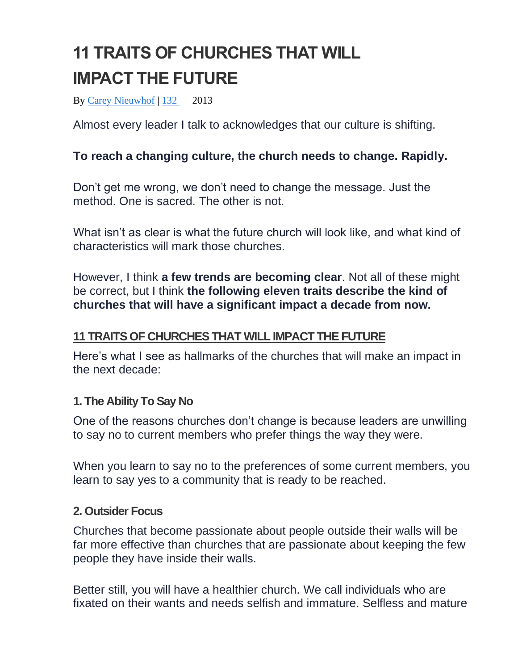# **11 TRAITS OF CHURCHES THAT WILL IMPACT THE FUTURE**

By [Carey Nieuwhof](https://careynieuwhof.com/author/carey/) | [132](https://careynieuwhof.com/11-traits-of-churches-that-will-impact-the-future/#comments) 2013

Almost every leader I talk to acknowledges that our culture is shifting.

## **To reach a changing culture, the church needs to change. Rapidly.**

Don't get me wrong, we don't need to change the message. Just the method. One is sacred. The other is not.

What isn't as clear is what the future church will look like, and what kind of characteristics will mark those churches.

However, I think **a few trends are becoming clear**. Not all of these might be correct, but I think **the following eleven traits describe the kind of churches that will have a significant impact a decade from now.**

## **11 TRAITS OF CHURCHES THAT WILL IMPACT THE FUTURE**

Here's what I see as hallmarks of the churches that will make an impact in the next decade:

#### **1. The Ability To Say No**

One of the reasons churches don't change is because leaders are unwilling to say no to current members who prefer things the way they were.

When you learn to say no to the preferences of some current members, you learn to say yes to a community that is ready to be reached.

#### **2. Outsider Focus**

Churches that become passionate about people outside their walls will be far more effective than churches that are passionate about keeping the few people they have inside their walls.

Better still, you will have a healthier church. We call individuals who are fixated on their wants and needs selfish and immature. Selfless and mature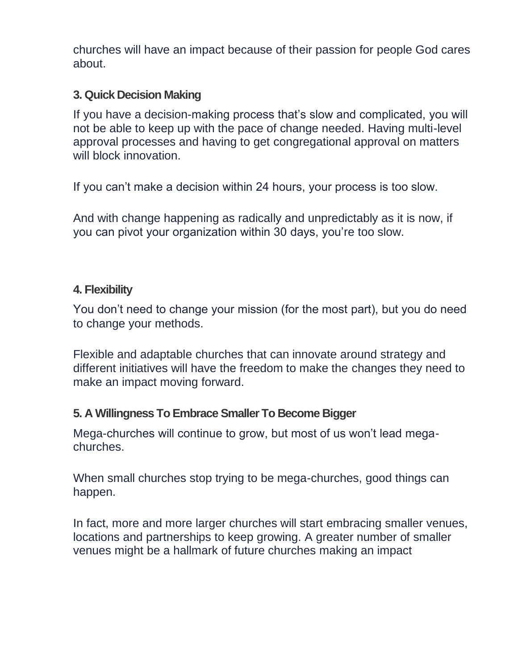churches will have an impact because of their passion for people God cares about.

### **3. Quick Decision Making**

If you have a decision-making process that's slow and complicated, you will not be able to keep up with the pace of change needed. Having multi-level approval processes and having to get congregational approval on matters will block innovation.

If you can't make a decision within 24 hours, your process is too slow.

And with change happening as radically and unpredictably as it is now, if you can pivot your organization within 30 days, you're too slow.

## **4. Flexibility**

You don't need to change your mission (for the most part), but you do need to change your methods.

Flexible and adaptable churches that can innovate around strategy and different initiatives will have the freedom to make the changes they need to make an impact moving forward.

## **5. A Willingness To Embrace Smaller To Become Bigger**

Mega-churches will continue to grow, but most of us won't lead megachurches.

When small churches stop trying to be mega-churches, good things can happen.

In fact, more and more larger churches will start embracing smaller venues, locations and partnerships to keep growing. A greater number of smaller venues might be a hallmark of future churches making an impact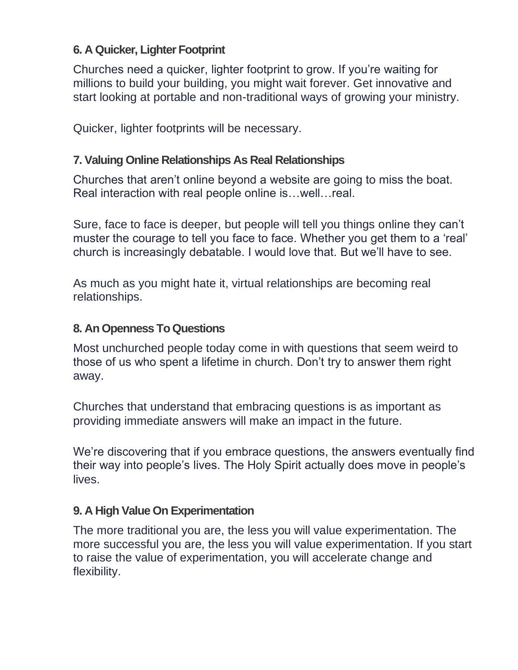## **6. A Quicker, Lighter Footprint**

Churches need a quicker, lighter footprint to grow. If you're waiting for millions to build your building, you might wait forever. Get innovative and start looking at portable and non-traditional ways of growing your ministry.

Quicker, lighter footprints will be necessary.

## **7. Valuing Online Relationships As Real Relationships**

Churches that aren't online beyond a website are going to miss the boat. Real interaction with real people online is…well…real.

Sure, face to face is deeper, but people will tell you things online they can't muster the courage to tell you face to face. Whether you get them to a 'real' church is increasingly debatable. I would love that. But we'll have to see.

As much as you might hate it, virtual relationships are becoming real relationships.

### **8. An Openness To Questions**

Most unchurched people today come in with questions that seem weird to those of us who spent a lifetime in church. Don't try to answer them right away.

Churches that understand that embracing questions is as important as providing immediate answers will make an impact in the future.

We're discovering that if you embrace questions, the answers eventually find their way into people's lives. The Holy Spirit actually does move in people's lives.

#### **9. A High Value On Experimentation**

The more traditional you are, the less you will value experimentation. The more successful you are, the less you will value experimentation. If you start to raise the value of experimentation, you will accelerate change and flexibility.